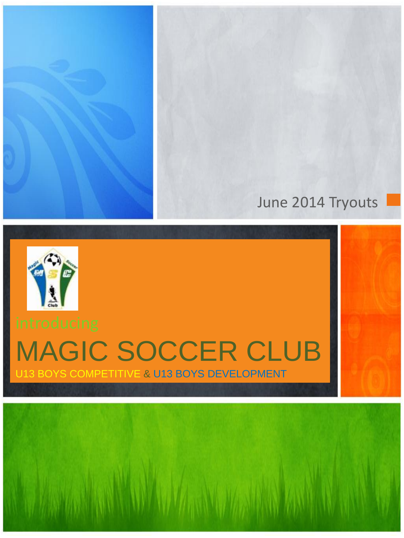#### June 2014 Tryouts



# MAGIC SOCCER CLUB

U13 BOYS COMPETITIVE & U13 BOYS DEVELOPMENT

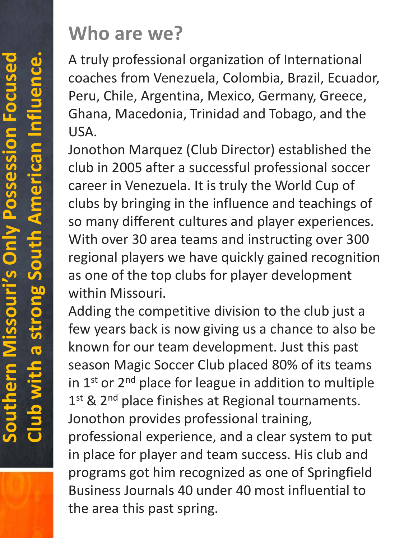### **Who are we?**

A truly professional organization of International coaches from Venezuela, Colombia, Brazil, Ecuador, Peru, Chile, Argentina, Mexico, Germany, Greece, Ghana, Macedonia, Trinidad and Tobago, and the USA.

Jonothon Marquez (Club Director) established the club in 2005 after a successful professional soccer career in Venezuela. It is truly the World Cup of clubs by bringing in the influence and teachings of so many different cultures and player experiences. With over 30 area teams and instructing over 300 regional players we have quickly gained recognition as one of the top clubs for player development within Missouri.

Adding the competitive division to the club just a few years back is now giving us a chance to also be known for our team development. Just this past season Magic Soccer Club placed 80% of its teams in  $1<sup>st</sup>$  or  $2<sup>nd</sup>$  place for league in addition to multiple  $1<sup>st</sup>$  &  $2<sup>nd</sup>$  place finishes at Regional tournaments. Jonothon provides professional training, professional experience, and a clear system to put in place for player and team success. His club and programs got him recognized as one of Springfield Business Journals 40 under 40 most influential to the area this past spring.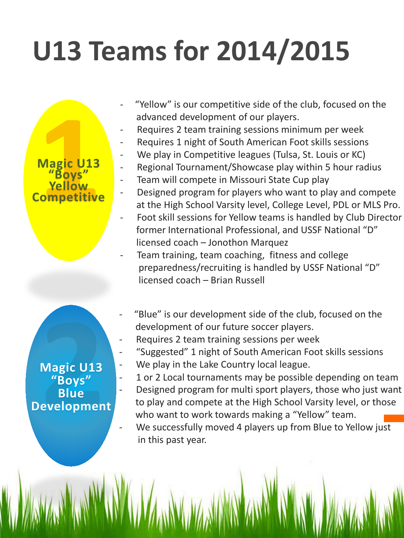## **U13 Teams for 2014/2015**

- "Yellow" is our competitive side of the club, focused on the advanced development of our players.
- Requires 2 team training sessions minimum per week
- Requires 1 night of South American Foot skills sessions
- We play in Competitive leagues (Tulsa, St. Louis or KC)
- Regional Tournament/Showcase play within 5 hour radius
- Team will compete in Missouri State Cup play
- Designed program for players who want to play and compete at the High School Varsity level, College Level, PDL or MLS Pro.
- Foot skill sessions for Yellow teams is handled by Club Director former International Professional, and USSF National "D" licensed coach – Jonothon Marquez
- Team training, team coaching, fitness and college preparedness/recruiting is handled by USSF National "D" licensed coach – Brian Russell
- "Blue" is our development side of the club, focused on the development of our future soccer players.
- Requires 2 team training sessions per week
- "Suggested" 1 night of South American Foot skills sessions
- We play in the Lake Country local league.
- 1 or 2 Local tournaments may be possible depending on team
- I - Designed program for multi sport players, those who just want to play and compete at the High School Varsity level, or those who want to work towards making a "Yellow" team.

We successfully moved 4 players up from Blue to Yellow just in this past year.

 **Yellow Magic U13 "Boys" Competitive**

י<br>י **Magic U13 "Boys" Blue Development**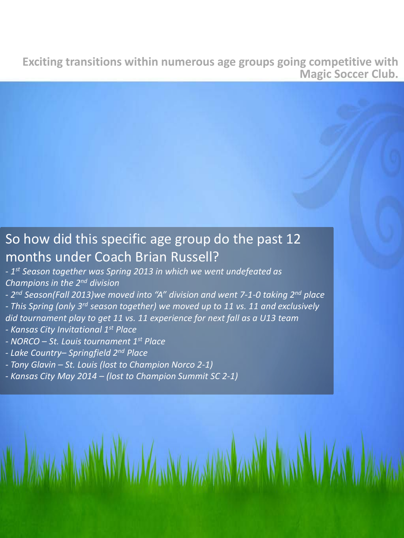**Exciting transitions within numerous age groups going competitive with Magic Soccer Club.**

#### So how did this specific age group do the past 12 months under Coach Brian Russell?

- *1st Season together was Spring 2013 in which we went undefeated as Champions in the 2nd division*

*- 2nd Season(Fall 2013)we moved into "A" division and went 7-1-0 taking 2nd place*

*- This Spring (only 3rd season together) we moved up to 11 vs. 11 and exclusively did tournament play to get 11 vs. 11 experience for next fall as a U13 team*

**WAR ARAN** 

- *- Kansas City Invitational 1st Place*
- *- NORCO – St. Louis tournament 1st Place*
- *- Lake Country– Springfield 2nd Place*
- *- Tony Glavin – St. Louis (lost to Champion Norco 2-1)*
- *- Kansas City May 2014 – (lost to Champion Summit SC 2-1)*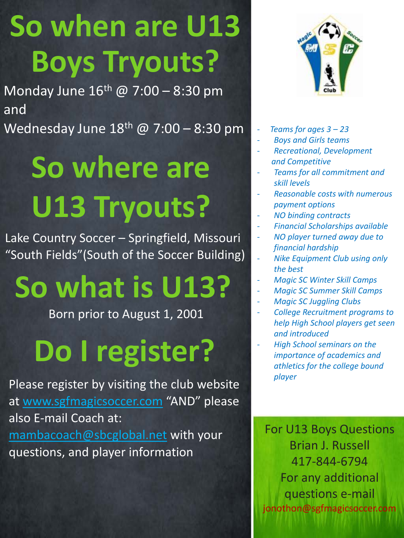# **So when are U13 Boys Tryouts?**

Monday June  $16^{th}$  @ 7:00 - 8:30 pm and

Wednesday June  $18^{th}$  @ 7:00 - 8:30 pm

# **So where are U13 Tryouts?**

Lake Country Soccer – Springfield, Missouri "South Fields"(South of the Soccer Building)

### **So what is U13?**

Born prior to August 1, 2001

### **Do I register?**

Please register by visiting the club website at [www.sgfmagicsoccer.com](http://www.sgfmagicsoccer.com/) "AND" please also E-mail Coach at: [mambacoach@sbcglobal.net](mailto:mambacoach@sbcglobal.net) with your questions, and player information



- *Teams for ages 3 – 23*
- *Boys and Girls teams*
- *Recreational, Development and Competitive*
- *Teams for all commitment and skill levels*
- *Reasonable costs with numerous payment options*
- *NO binding contracts*
- *Financial Scholarships available*
- *NO player turned away due to financial hardship*
- *Nike Equipment Club using only the best*
- *Magic SC Winter Skill Camps*
- *Magic SC Summer Skill Camps*
	- *Magic SC Juggling Clubs*
- *College Recruitment programs to help High School players get seen and introduced*
	- *High School seminars on the importance of academics and athletics for the college bound player*

For U13 Boys Questions Brian J. Russell 417-844-6794 For any additional questions e-mail jonothon@sgfmagicsoccer.com